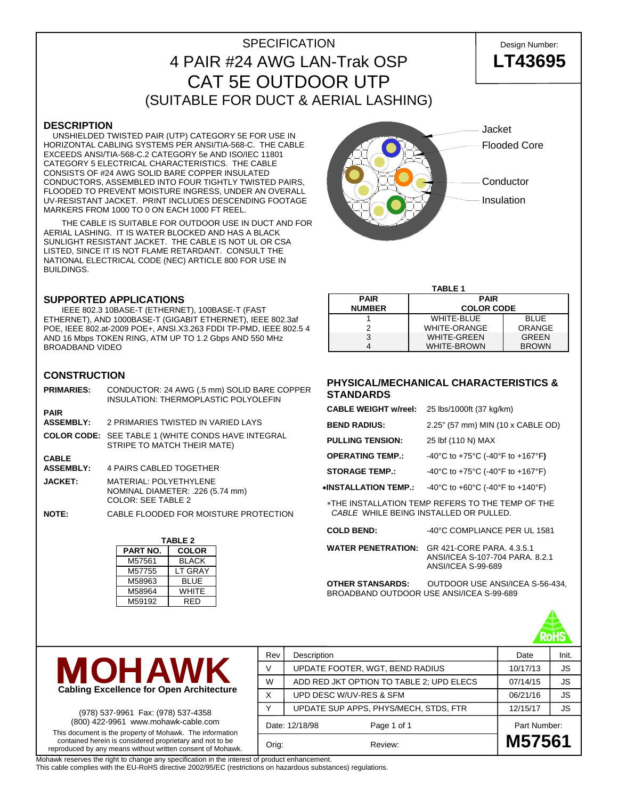# SPECIFICATION Design Number: 4 PAIR #24 AWG LAN-Trak OSP **LT43695** CAT 5E OUTDOOR UTP (SUITABLE FOR DUCT & AERIAL LASHING)

#### **DESCRIPTION**

 UNSHIELDED TWISTED PAIR (UTP) CATEGORY 5E FOR USE IN HORIZONTAL CABLING SYSTEMS PER ANSI/TIA-568-C. THE CABLE EXCEEDS ANSI/TIA-568-C.2 CATEGORY 5e AND ISO/IEC 11801 CATEGORY 5 ELECTRICAL CHARACTERISTICS. THE CABLE CONSISTS OF #24 AWG SOLID BARE COPPER INSULATED CONDUCTORS, ASSEMBLED INTO FOUR TIGHTLY TWISTED PAIRS, FLOODED TO PREVENT MOISTURE INGRESS, UNDER AN OVERALL UV-RESISTANT JACKET. PRINT INCLUDES DESCENDING FOOTAGE MARKERS FROM 1000 TO 0 ON EACH 1000 FT REEL.

 THE CABLE IS SUITABLE FOR OUTDOOR USE IN DUCT AND FOR AERIAL LASHING. IT IS WATER BLOCKED AND HAS A BLACK SUNLIGHT RESISTANT JACKET. THE CABLE IS NOT UL OR CSA LISTED, SINCE IT IS NOT FLAME RETARDANT. CONSULT THE NATIONAL ELECTRICAL CODE (NEC) ARTICLE 800 FOR USE IN BUILDINGS.

#### **SUPPORTED APPLICATIONS**

 IEEE 802.3 10BASE-T (ETHERNET), 100BASE-T (FAST ETHERNET), AND 1000BASE-T (GIGABIT ETHERNET), IEEE 802.3af POE, IEEE 802.at-2009 POE+, ANSI.X3.263 FDDI TP-PMD, IEEE 802.5 4 AND 16 Mbps TOKEN RING, ATM UP TO 1.2 Gbps AND 550 MHz BROADBAND VIDEO

## **CONSTRUCTION**

| <b>PRIMARIES:</b>                | CONDUCTOR: 24 AWG (.5 mm) SOLID BARE COPPER<br><b>INSULATION: THERMOPLASTIC POLYOLEFIN</b> |
|----------------------------------|--------------------------------------------------------------------------------------------|
| <b>PAIR</b><br><b>ASSEMBLY:</b>  | 2 PRIMARIES TWISTED IN VARIED LAYS                                                         |
|                                  | <b>COLOR CODE:</b> SEE TABLE 1 (WHITE CONDS HAVE INTEGRAL<br>STRIPE TO MATCH THEIR MATE)   |
| <b>CABLE</b><br><b>ASSEMBLY:</b> | <b>4 PAIRS CABLED TOGETHER</b>                                                             |
| <b>JACKET:</b>                   | MATERIAL: POLYETHYLENE<br>NOMINAL DIAMETER: .226 (5.74 mm)<br><b>COLOR: SEE TABLE 2</b>    |
| <b>NOTE:</b>                     | CABLE FLOODED FOR MOISTURE PROTECTION                                                      |

| <b>TABLE 2</b> |                |  |  |  |  |  |
|----------------|----------------|--|--|--|--|--|
| PART NO.       | <b>COLOR</b>   |  |  |  |  |  |
| M57561         | <b>BLACK</b>   |  |  |  |  |  |
| M57755         | <b>LT GRAY</b> |  |  |  |  |  |
| M58963         | <b>BLUE</b>    |  |  |  |  |  |
| M58964         | <b>WHITE</b>   |  |  |  |  |  |
| M59192         | RFD            |  |  |  |  |  |



| <b>TABLE 1</b> |                                  |              |  |  |  |  |  |
|----------------|----------------------------------|--------------|--|--|--|--|--|
| <b>PAIR</b>    | <b>PAIR</b><br><b>COLOR CODE</b> |              |  |  |  |  |  |
| <b>NUMBER</b>  |                                  |              |  |  |  |  |  |
|                | <b>WHITE-BLUE</b>                | <b>BLUE</b>  |  |  |  |  |  |
|                | <b>WHITE-ORANGE</b>              | ORANGE       |  |  |  |  |  |
| 3              | <b>WHITE-GREEN</b>               | <b>GREEN</b> |  |  |  |  |  |
|                | <b>WHITE-BROWN</b>               | <b>BROWN</b> |  |  |  |  |  |

## **PHYSICAL/MECHANICAL CHARACTERISTICS & STANDARDS**

| <b>CABLE WEIGHT w/reel:</b>                                                                | 25 lbs/1000ft (37 kg/km)          |  |  |  |  |
|--------------------------------------------------------------------------------------------|-----------------------------------|--|--|--|--|
| <b>BEND RADIUS:</b>                                                                        | 2.25" (57 mm) MIN (10 x CABLE OD) |  |  |  |  |
| <b>PULLING TENSION:</b>                                                                    | 25 lbf (110 N) MAX                |  |  |  |  |
| <b>OPERATING TEMP.:</b>                                                                    | -40°C to +75°C (-40°F to +167°F)  |  |  |  |  |
| <b>STORAGE TEMP.:</b>                                                                      | -40°C to +75°C (-40°F to +167°F)  |  |  |  |  |
| ∗INSTALLATION TEMP.:                                                                       | -40°C to +60°C (-40°F to +140°F)  |  |  |  |  |
| *THE INSTALLATION TEMP REFERS TO THE TEMP OF THE<br>CABLE WHILE BEING INSTALLED OR PULLED. |                                   |  |  |  |  |

| <b>COLD BEND:</b>       | -40°C COMPLIANCE PER UL 1581                                                                                 |
|-------------------------|--------------------------------------------------------------------------------------------------------------|
|                         | <b>WATER PENETRATION:</b> GR 421-CORE PARA, 4.3.5.1<br>ANSI/ICEA S-107-704 PARA, 8.2.1<br>ANSI/ICEA S-99-689 |
| <b>OTHER STANSARDS.</b> | OLITDOOR LISE ANSI/ICEA S-56-43                                                                              |

**OTHER STANSARDS:** OUTDOOR USE ANSI/ICEA S-56-434, BROADBAND OUTDOOR USE ANSI/ICEA S-99-689





(978) 537-9961 Fax: (978) 537-4358 (800) 422-9961 www.mohawk-cable.com This document is the property of Mohawk. The information contained herein is considered proprietary and not to be reproduced by any means without written consent of Mohawk.

|              | Date: 12/18/98<br>Page 1 of 1            | Part Number: |           |
|--------------|------------------------------------------|--------------|-----------|
| $\checkmark$ | UPDATE SUP APPS, PHYS/MECH, STDS, FTR    | 12/15/17     | <b>JS</b> |
| X            | UPD DESC W/UV-RES & SFM                  | 06/21/16     | <b>JS</b> |
| W            | ADD RED JKT OPTION TO TABLE 2; UPD ELECS | 07/14/15     | <b>JS</b> |
| V            | UPDATE FOOTER, WGT, BEND RADIUS          | 10/17/13     | JS        |
| Rev          | Description                              | Date         | Init.     |

Mohawk reserves the right to change any specification in the interest of product enhancement.

This cable complies with the EU-RoHS directive 2002/95/EC (restrictions on hazardous substances) regulations.